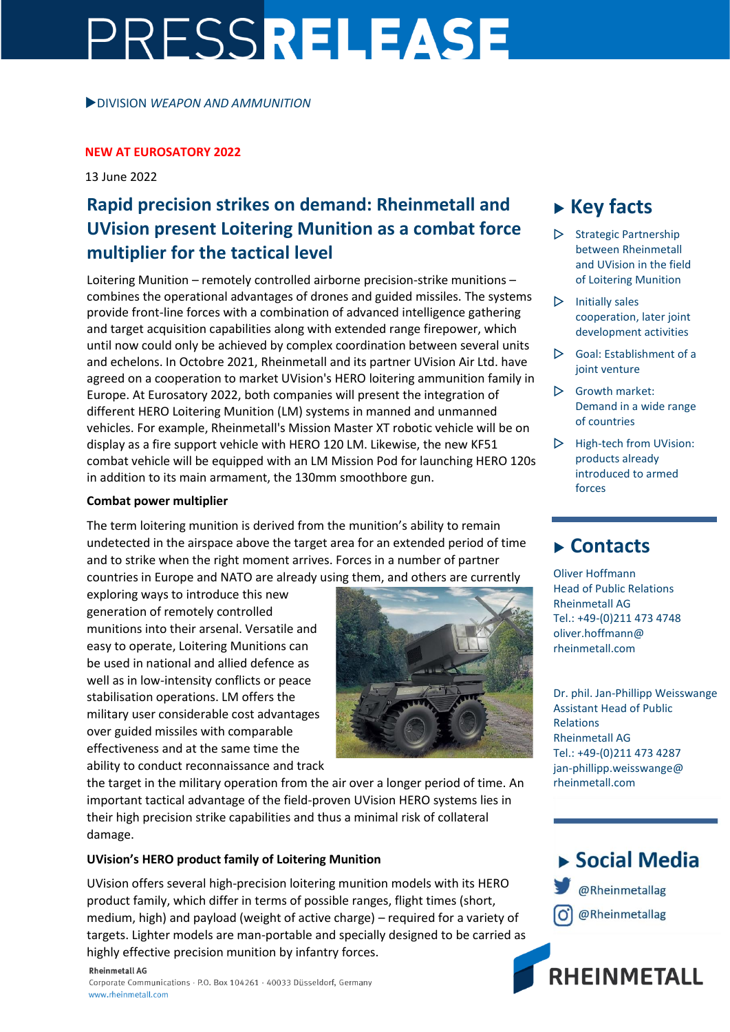# PRESSRELEASE

DIVISION *WEAPON AND AMMUNITION*

#### **NEW AT EUROSATORY 2022**

13 June 2022

## **Rapid precision strikes on demand: Rheinmetall and UVision present Loitering Munition as a combat force multiplier for the tactical level**

Loitering Munition – remotely controlled airborne precision-strike munitions – combines the operational advantages of drones and guided missiles. The systems provide front-line forces with a combination of advanced intelligence gathering and target acquisition capabilities along with extended range firepower, which until now could only be achieved by complex coordination between several units and echelons. In Octobre 2021, Rheinmetall and its partner UVision Air Ltd. have agreed on a cooperation to market UVision's HERO loitering ammunition family in Europe. At Eurosatory 2022, both companies will present the integration of different HERO Loitering Munition (LM) systems in manned and unmanned vehicles. For example, Rheinmetall's Mission Master XT robotic vehicle will be on display as a fire support vehicle with HERO 120 LM. Likewise, the new KF51 combat vehicle will be equipped with an LM Mission Pod for launching HERO 120s in addition to its main armament, the 130mm smoothbore gun.

#### **Combat power multiplier**

The term loitering munition is derived from the munition's ability to remain undetected in the airspace above the target area for an extended period of time and to strike when the right moment arrives. Forces in a number of partner countries in Europe and NATO are already using them, and others are currently

exploring ways to introduce this new generation of remotely controlled munitions into their arsenal. Versatile and easy to operate, Loitering Munitions can be used in national and allied defence as well as in low-intensity conflicts or peace stabilisation operations. LM offers the military user considerable cost advantages over guided missiles with comparable effectiveness and at the same time the ability to conduct reconnaissance and track



#### **UVision's HERO product family of Loitering Munition**

UVision offers several high-precision loitering munition models with its HERO product family, which differ in terms of possible ranges, flight times (short, medium, high) and payload (weight of active charge) – required for a variety of targets. Lighter models are man-portable and specially designed to be carried as highly effective precision munition by infantry forces.

**Rheinmetall AG** Corporate Communications · P.O. Box 104261 · 40033 Düsseldorf, Germany www.rheinmetall.com

# **Key facts**

- $\triangleright$  Strategic Partnership between Rheinmetall and UVision in the field of Loitering Munition
- $\triangleright$  Initially sales cooperation, later joint development activities
- $\triangleright$  Goal: Establishment of a joint venture
- $\triangleright$  Growth market: Demand in a wide range of countries
- $\triangleright$  High-tech from UVision: products already introduced to armed forces

### **Contacts**

Oliver Hoffmann Head of Public Relations Rheinmetall AG Tel.: +49-(0)211 473 4748 oliver.hoffmann@ rheinmetall.com

Dr. phil. Jan-Phillipp Weisswange Assistant Head of Public Relations Rheinmetall AG Tel.: +49-(0)211 473 4287 jan-phillipp.weisswange@ rheinmetall.com

▶ Social Media @Rheinmetallag

@Rheinmetallag